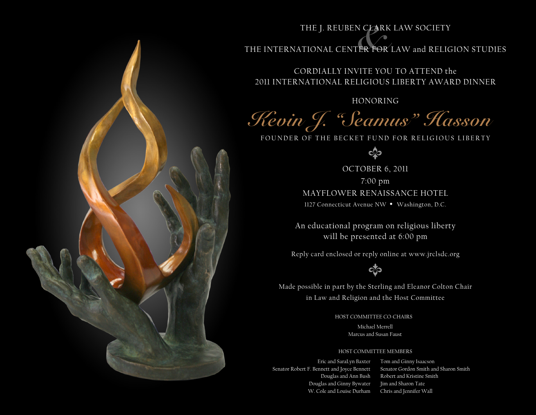## THE J. REUBEN CLARK LAW SOCIETY

## THE INTERNATIONAL CENTER FOR LAW and RELIGION STUDIES

CORDIALLY INVITE YOU TO ATTEND the 2011 INTERNATIONAL RELIGIOUS LIBERTY AWARD DINNER

HONORING

**Kevin J. "Seamus" Hasson**

FOUNDER OF THE BECKET FUND FOR RELIGIOUS LIBERTY

 $\infty$ 

OCTOBER 6, 2011 7:00 pm MAYFLOWER RENAISSANCE HOTEL 1127 Connecticut Avenue NW . Washington, D.C.

An educational program on religious liberty will be presented at 6:00 pm

Reply card enclosed or reply online at www.jrclsdc.org



Made possible in part by the Sterling and Eleanor Colton Chair in Law and Religion and the Host Committee

HOST COMMITTEE CO-CHAIRS

Michael Merrell Marcus and Susan Faust

## HOST COMMITTEE MEMBERS

Eric and SaraLyn Baxter Senator Robert F. Bennett and Joyce Bennett Douglas and Ann Bush Douglas and Ginny Bywater W. Cole and Louise Durham

Tom and Ginny Isaacson Senator Gordon Smith and Sharon Smith Robert and Kristine Smith Jim and Sharon Tate Chris and Jennifer Wall